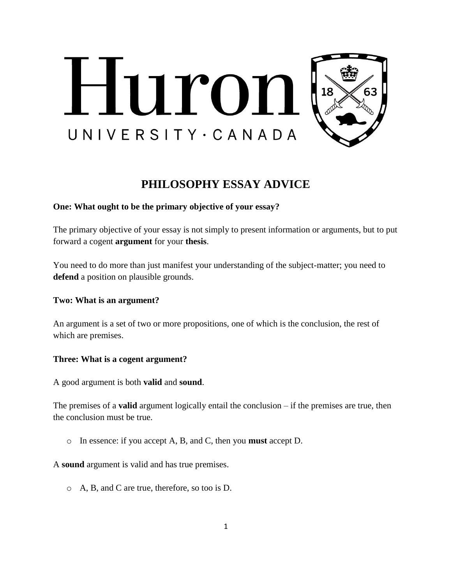

# **PHILOSOPHY ESSAY ADVICE**

# **One: What ought to be the primary objective of your essay?**

The primary objective of your essay is not simply to present information or arguments, but to put forward a cogent **argument** for your **thesis**.

You need to do more than just manifest your understanding of the subject-matter; you need to **defend** a position on plausible grounds.

### **Two: What is an argument?**

An argument is a set of two or more propositions, one of which is the conclusion, the rest of which are premises.

### **Three: What is a cogent argument?**

A good argument is both **valid** and **sound**.

The premises of a **valid** argument logically entail the conclusion – if the premises are true, then the conclusion must be true.

o In essence: if you accept A, B, and C, then you **must** accept D.

A **sound** argument is valid and has true premises.

o A, B, and C are true, therefore, so too is D.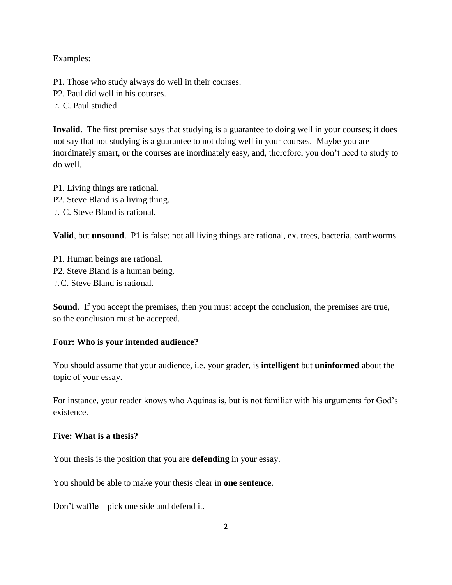Examples:

- P1. Those who study always do well in their courses.
- P2. Paul did well in his courses.
- C. Paul studied.

**Invalid**. The first premise says that studying is a guarantee to doing well in your courses; it does not say that not studying is a guarantee to not doing well in your courses. Maybe you are inordinately smart, or the courses are inordinately easy, and, therefore, you don't need to study to do well.

P1. Living things are rational. P2. Steve Bland is a living thing. ∴ C. Steve Bland is rational.

**Valid**, but **unsound**. P1 is false: not all living things are rational, ex. trees, bacteria, earthworms.

P1. Human beings are rational. P2. Steve Bland is a human being. ∴C. Steve Bland is rational.

**Sound**. If you accept the premises, then you must accept the conclusion, the premises are true, so the conclusion must be accepted.

#### **Four: Who is your intended audience?**

You should assume that your audience, i.e. your grader, is **intelligent** but **uninformed** about the topic of your essay.

For instance, your reader knows who Aquinas is, but is not familiar with his arguments for God's existence.

### **Five: What is a thesis?**

Your thesis is the position that you are **defending** in your essay.

You should be able to make your thesis clear in **one sentence**.

Don't waffle – pick one side and defend it.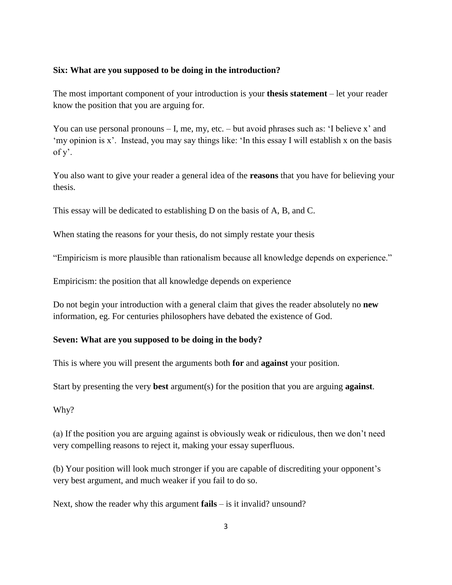#### **Six: What are you supposed to be doing in the introduction?**

The most important component of your introduction is your **thesis statement** – let your reader know the position that you are arguing for.

You can use personal pronouns – I, me, my, etc. – but avoid phrases such as: 'I believe x' and 'my opinion is x'. Instead, you may say things like: 'In this essay I will establish x on the basis of y'.

You also want to give your reader a general idea of the **reasons** that you have for believing your thesis.

This essay will be dedicated to establishing D on the basis of A, B, and C.

When stating the reasons for your thesis, do not simply restate your thesis

"Empiricism is more plausible than rationalism because all knowledge depends on experience."

Empiricism: the position that all knowledge depends on experience

Do not begin your introduction with a general claim that gives the reader absolutely no **new** information, eg. For centuries philosophers have debated the existence of God.

#### **Seven: What are you supposed to be doing in the body?**

This is where you will present the arguments both **for** and **against** your position.

Start by presenting the very **best** argument(s) for the position that you are arguing **against**.

Why?

(a) If the position you are arguing against is obviously weak or ridiculous, then we don't need very compelling reasons to reject it, making your essay superfluous.

(b) Your position will look much stronger if you are capable of discrediting your opponent's very best argument, and much weaker if you fail to do so.

Next, show the reader why this argument **fails** – is it invalid? unsound?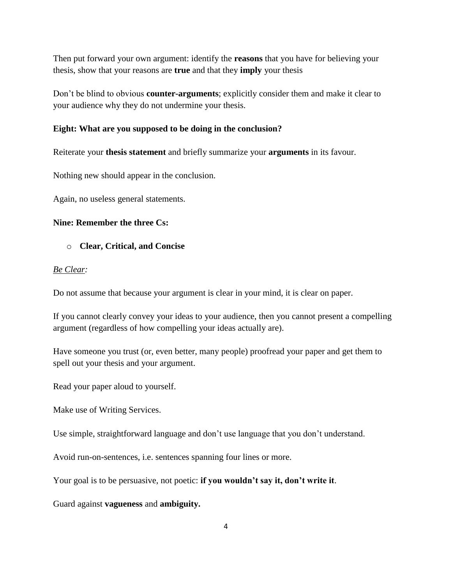Then put forward your own argument: identify the **reasons** that you have for believing your thesis, show that your reasons are **true** and that they **imply** your thesis

Don't be blind to obvious **counter-arguments**; explicitly consider them and make it clear to your audience why they do not undermine your thesis.

# **Eight: What are you supposed to be doing in the conclusion?**

Reiterate your **thesis statement** and briefly summarize your **arguments** in its favour.

Nothing new should appear in the conclusion.

Again, no useless general statements.

# **Nine: Remember the three Cs:**

# o **Clear, Critical, and Concise**

# *Be Clear:*

Do not assume that because your argument is clear in your mind, it is clear on paper.

If you cannot clearly convey your ideas to your audience, then you cannot present a compelling argument (regardless of how compelling your ideas actually are).

Have someone you trust (or, even better, many people) proofread your paper and get them to spell out your thesis and your argument.

Read your paper aloud to yourself.

Make use of Writing Services.

Use simple, straightforward language and don't use language that you don't understand.

Avoid run-on-sentences, i.e. sentences spanning four lines or more.

Your goal is to be persuasive, not poetic: **if you wouldn't say it, don't write it**.

Guard against **vagueness** and **ambiguity.**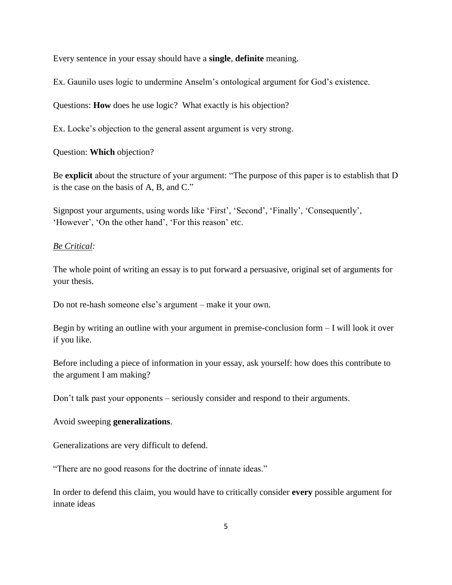Every sentence in your essay should have a **single**, **definite** meaning.

Ex. Gaunilo uses logic to undermine Anselm's ontological argument for God's existence.

Questions: **How** does he use logic? What exactly is his objection?

Ex. Locke's objection to the general assent argument is very strong.

Question: **Which** objection?

Be **explicit** about the structure of your argument: "The purpose of this paper is to establish that D is the case on the basis of A, B, and C."

Signpost your arguments, using words like 'First', 'Second', 'Finally', 'Consequently', 'However', 'On the other hand', 'For this reason' etc.

#### *Be Critical:*

The whole point of writing an essay is to put forward a persuasive, original set of arguments for your thesis.

Do not re-hash someone else's argument – make it your own.

Begin by writing an outline with your argument in premise-conclusion form – I will look it over if you like.

Before including a piece of information in your essay, ask yourself: how does this contribute to the argument I am making?

Don't talk past your opponents – seriously consider and respond to their arguments.

#### Avoid sweeping **generalizations**.

Generalizations are very difficult to defend.

"There are no good reasons for the doctrine of innate ideas."

In order to defend this claim, you would have to critically consider **every** possible argument for innate ideas